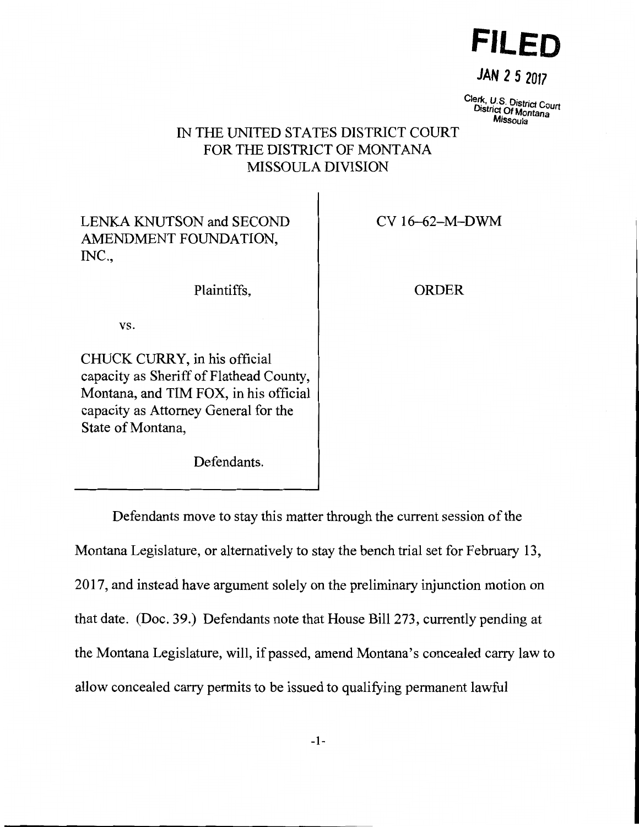

## **JAN 2 5 2017**

Sierk, U.S. District Court<br>District Of Montana Missoula

## IN THE UNITED STATES DISTRICT COURT FOR THE DISTRICT OF MONTANA MISSOULA DIVISION

## LENKA KNUTSON and SECOND AMENDMENT FOUNDATION, INC.,

Plaintiffs,

CV 16-62-M-DWM

ORDER

vs.

CHUCK CURRY, in his official capacity as Sheriff of Flathead County, Montana, and TIM FOX, in his official capacity as Attorney General for the State of Montana,

Defendants.

Defendants move to stay this matter through the current session of the Montana Legislature, or alternatively to stay the bench trial set for February 13, 201 7, and instead have argument solely on the preliminary injunction motion on that date. (Doc. 39.) Defendants note that House Bill 273, currently pending at the Montana Legislature, will, if passed, amend Montana's concealed carry law to allow concealed carry permits to be issued to qualifying permanent lawful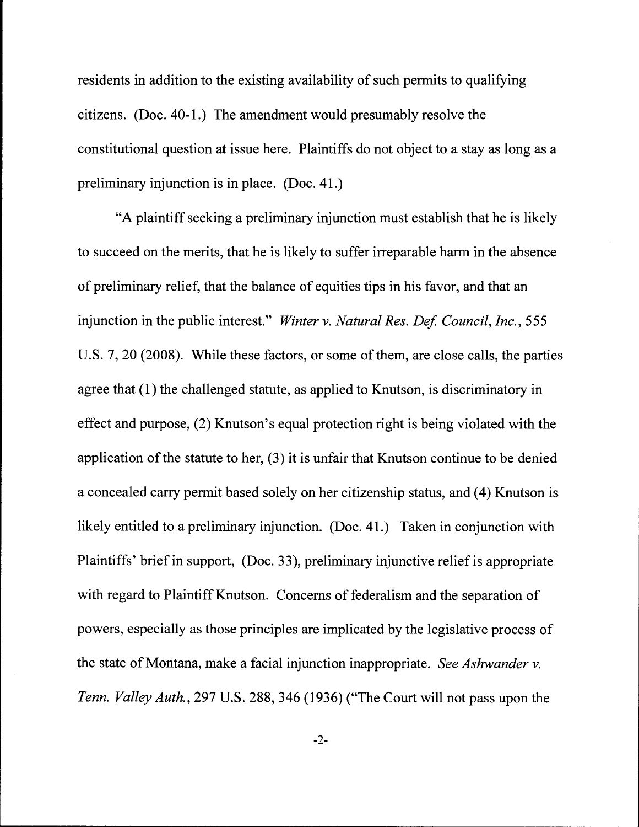residents in addition to the existing availability of such permits to qualifying citizens. (Doc. 40-1.) The amendment would presumably resolve the constitutional question at issue here. Plaintiffs do not object to a stay as long as a preliminary injunction is in place. (Doc. 41.)

"A plaintiff seeking a preliminary injunction must establish that he is likely to succeed on the merits, that he is likely to suffer irreparable harm in the absence of preliminary relief, that the balance of equities tips in his favor, and that an injunction in the public interest." *Winter v. Natural Res. Def. Council, Inc.*, 555 U.S. 7, 20 (2008). While these factors, or some of them, are close calls, the parties agree that  $(1)$  the challenged statute, as applied to Knutson, is discriminatory in effect and purpose, (2) Knutson's equal protection right is being violated with the application of the statute to her, (3) it is unfair that Knutson continue to be denied a concealed carry permit based solely on her citizenship status, and ( 4) Knutson is likely entitled to a preliminary injunction. (Doc. 41.) Taken in conjunction with Plaintiffs' brief in support, (Doc. 33), preliminary injunctive relief is appropriate with regard to Plaintiff Knutson. Concerns of federalism and the separation of powers, especially as those principles are implicated by the legislative process of the state of Montana, make a facial injunction inappropriate. *See Ashwander v. Tenn. Valley Auth.,* 297 U.S. 288, 346 (1936) ("The Court will not pass upon the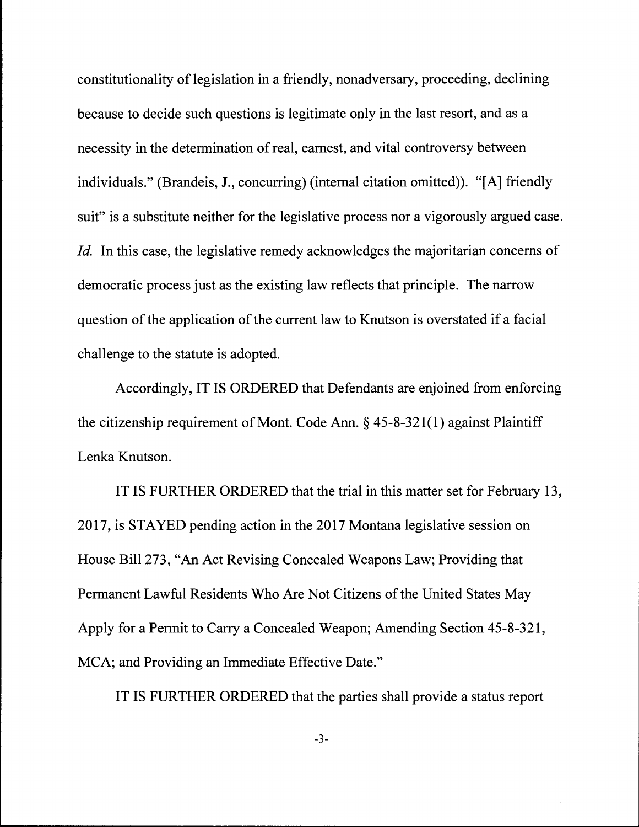constitutionality of legislation in a friendly, nonadversary, proceeding, declining because to decide such questions is legitimate only in the last resort, and as a necessity in the determination of real, earnest, and vital controversy between individuals." (Brandeis, J., concurring) (internal citation omitted)). "[A] friendly suit" is a substitute neither for the legislative process nor a vigorously argued case. *Id.* In this case, the legislative remedy acknowledges the majoritarian concerns of democratic process just as the existing law reflects that principle. The narrow question of the application of the current law to Knutson is overstated if a facial challenge to the statute is adopted.

Accordingly, IT IS ORDERED that Defendants are enjoined from enforcing the citizenship requirement of Mont. Code Ann. § 45-8-321(1) against Plaintiff Lenka Knutson.

IT IS FURTHER ORDERED that the trial in this matter set for February 13, 2017, is STAYED pending action in the 2017 Montana legislative session on House Bill 273, "An Act Revising Concealed Weapons Law; Providing that Permanent Lawful Residents Who Are Not Citizens of the United States May Apply for a Permit to Carry a Concealed Weapon; Amending Section 45-8-321, MCA; and Providing an Immediate Effective Date."

IT IS FURTHER ORDERED that the parties shall provide a status report

-3-